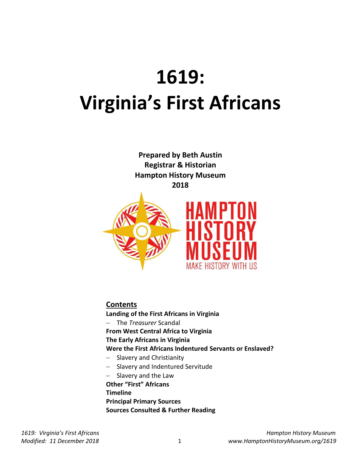# **1619: Virginia's First Africans**

**Prepared by Beth Austin Registrar & Historian Hampton History Museum 2018**



**Contents**

**Landing of the First Africans in Virginia**

The *Treasurer* Scandal

**From West Central Africa to Virginia**

**The Early Africans in Virginia**

**Were the First Africans Indentured Servants or Enslaved?**

- Slavery and Christianity
- Slavery and Indentured Servitude
- $-$  Slavery and the Law

**Other "First" Africans Timeline Principal Primary Sources Sources Consulted & Further Reading**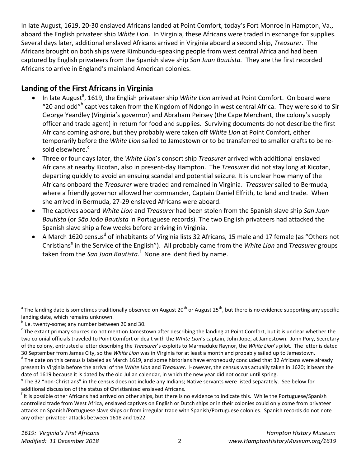In late August, 1619, 20-30 enslaved Africans landed at Point Comfort, today's Fort Monroe in Hampton, Va., aboard the English privateer ship *White Lion*. In Virginia, these Africans were traded in exchange for supplies. Several days later, additional enslaved Africans arrived in Virginia aboard a second ship, *Treasurer*. The Africans brought on both ships were Kimbundu-speaking people from west central Africa and had been captured by English privateers from the Spanish slave ship *San Juan Bautista.* They are the first recorded Africans to arrive in England's mainland American colonies.

## **Landing of the First Africans in Virginia**

- In late August<sup>a</sup>, 1619, the English privateer ship *White Lion* arrived at Point Comfort. On board were "20 and odd"<sup>b</sup> captives taken from the Kingdom of Ndongo in west central Africa. They were sold to Sir George Yeardley (Virginia's governor) and Abraham Peirsey (the Cape Merchant, the colony's supply officer and trade agent) in return for food and supplies. Surviving documents do not describe the first Africans coming ashore, but they probably were taken off *White Lion* at Point Comfort, either temporarily before the *White Lion* sailed to Jamestown or to be transferred to smaller crafts to be resold elsewhere. $\degree$
- Three or four days later, the *White Lion*'s consort ship *Treasurer* arrived with additional enslaved Africans at nearby Kicotan, also in present-day Hampton. The *Treasurer* did not stay long at Kicotan, departing quickly to avoid an ensuing scandal and potential seizure. It is unclear how many of the Africans onboard the *Treasurer* were traded and remained in Virginia. *Treasurer* sailed to Bermuda, where a friendly governor allowed her commander, Captain Daniel Elfrith, to land and trade. When she arrived in Bermuda, 27-29 enslaved Africans were aboard.
- The captives aboard *White Lion* and *Treasurer* had been stolen from the Spanish slave ship *San Juan Bautista* (or *São João Bautista* in Portuguese records). The two English privateers had attacked the Spanish slave ship a few weeks before arriving in Virginia.
- A March 1620 census<sup>d</sup> of inhabitants of Virginia lists 32 Africans, 15 male and 17 female (as "Others not Christians<sup>e</sup> in the Service of the English"). All probably came from the *White Lion* and *Treasurer* groups taken from the *San Juan Bautista.*<sup>f</sup> None are identified by name.

and a The landing date is sometimes traditionally observed on August 20<sup>th</sup> or August 25<sup>th</sup>, but there is no evidence supporting any specific and a The landing date is sometimes traditionally observed on August 20<sup>th</sup> or landing date, which remains unknown.

<sup>&</sup>lt;sup>b</sup> I.e. twenty-some; any number between 20 and 30.

 $c$  The extant primary sources do not mention Jamestown after describing the landing at Point Comfort, but it is unclear whether the two colonial officials traveled to Point Comfort or dealt with the *White Lion*'s captain, John Jope, at Jamestown. John Pory, Secretary of the colony, entrusted a letter describing the *Treasurer*'s exploits to Marmaduke Raynor, the *White Lion*'s pilot. The letter is dated 30 September from James City, so the *White Lion* was in Virginia for at least a month and probably sailed up to Jamestown.

<sup>&</sup>lt;sup>d</sup> The date on this census is labeled as March 1619, and some historians have erroneously concluded that 32 Africans were already present in Virginia before the arrival of the *White Lion* and *Treasurer.* However, the census was actually taken in 1620; it bears the date of 1619 because it is dated by the old Julian calendar, in which the new year did not occur until spring.

<sup>&</sup>lt;sup>e</sup> The 32 "non-Christians" in the census does not include any Indians; Native servants were listed separately. See below for additional discussion of the status of Christianized enslaved Africans.

<sup>&</sup>lt;sup>f</sup> It is possible other Africans had arrived on other ships, but there is no evidence to indicate this. While the Portuguese/Spanish controlled trade from West Africa, enslaved captives on English or Dutch ships or in their colonies could only come from privateer attacks on Spanish/Portuguese slave ships or from irregular trade with Spanish/Portuguese colonies. Spanish records do not note any other privateer attacks between 1618 and 1622.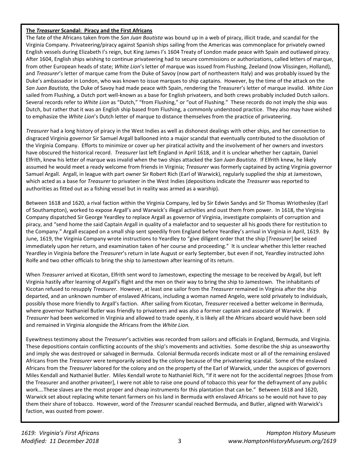#### **The** *Treasurer* **Scandal: Piracy and the First Africans**

The fate of the Africans taken from the *San Juan Bautista* was bound up in a web of piracy, illicit trade, and scandal for the Virginia Company. Privateering/piracy against Spanish ships sailing from the Americas was commonplace for privately owned English vessels during Elizabeth I's reign, but King James I's 1604 Treaty of London made peace with Spain and outlawed piracy. After 1604, English ships wishing to continue privateering had to secure commissions or authorizations, called letters of marque, from other European heads of state; *White Lion*'s letter of marque was issued from Flushing, Zeeland (now Vlissingen, Holland), and *Treasurer*'s letter of marque came from the Duke of Savoy (now part of northeastern Italy) and was probably issued by the Duke's ambassador in London, who was known to issue marques to ship captains. However, by the time of the attack on the *San Juan Bautista,* the Duke of Savoy had made peace with Spain, rendering the Treasurer's letter of marque invalid. *White Lion* sailed from Flushing, a Dutch port well-known as a base for English privateers, and both crews probably included Dutch sailors. Several records refer to *White Lion* as "Dutch," "from Flushing," or "out of Flushing." These records do not imply the ship was Dutch, but rather that it was an English ship based from Flushing, a commonly understood practice. They also may have wished to emphasize the *White Lion*'s Dutch letter of marque to distance themselves from the practice of privateering.

*Treasurer* had a long history of piracy in the West Indies as well as dishonest dealings with other ships, and her connection to disgraced Virginia governor Sir Samuel Argall ballooned into a major scandal that eventually contributed to the dissolution of the Virginia Company. Efforts to minimize or cover up her piratical activity and the involvement of her owners and investors have obscured the historical record. *Treasurer* last left England in April 1618, and it is unclear whether her captain, Daniel Elfrith, knew his letter of marque was invalid when the two ships attacked the *San Juan Bautista*. If Elfrith knew, he likely assumed he would meet a ready welcome from friends in Virginia; *Treasurer* was formerly captained by acting Virginia governor Samuel Argall. Argall, in league with part owner Sir Robert Rich (Earl of Warwick), regularly supplied the ship at Jamestown, which acted as a base for *Treasurer* to privateer in the West Indies (depositions indicate the *Treasurer* was reported to authorities as fitted out as a fishing vessel but in reality was armed as a warship).

Between 1618 and 1620, a rival faction within the Virginia Company, led by Sir Edwin Sandys and Sir Thomas Wriothesley (Earl of Southampton), worked to expose Argall's and Warwick's illegal activities and oust them from power. In 1618, the Virginia Company dispatched Sir George Yeardley to replace Argall as governor of Virginia, investigate complaints of corruption and piracy, and "send home the said Captain Argall in quality of a malefactor and to sequester all his goods there for restitution to the Company." Argall escaped on a small ship sent speedily from England before Yeardley's arrival in Virginia in April, 1619. By June, 1619, the Virginia Company wrote instructions to Yeardley to "give diligent order that the ship [*Treasurer*] be seized immediately upon her return, and examination taken of her course and proceeding." It is unclear whether this letter reached Yeardley in Virginia before the *Treasurer*'s return in late August or early September, but even if not, Yeardley instructed John Rolfe and two other officials to bring the ship to Jamestown after learning of its return.

When *Treasurer* arrived at Kicotan, Elfrith sent word to Jamestown, expecting the message to be received by Argall, but left Virginia hastily after learning of Argall's flight and the men on their way to bring the ship to Jamestown. The inhabitants of Kicotan refused to resupply *Treasurer*. However, at least one sailor from the *Treasurer* remained in Virginia after the ship departed, and an unknown number of enslaved Africans, including a woman named Angelo, were sold privately to individuals, possibly those more friendly to Argall's faction. After sailing from Kicotan, *Treasurer* received a better welcome in Bermuda, where governor Nathaniel Butler was friendly to privateers and was also a former captain and associate of Warwick. If *Treasurer* had been welcomed in Virginia and allowed to trade openly, it is likely all the Africans aboard would have been sold and remained in Virginia alongside the Africans from the *White Lion.*

Eyewitness testimony about the *Treasurer*'s activities was recorded from sailors and officials in England, Bermuda, and Virginia. These depositions contain conflicting accounts of the ship's movements and activities. Some describe the ship as unseaworthy and imply she was destroyed or salvaged in Bermuda. Colonial Bermuda records indicate most or all of the remaining enslaved Africans from the *Treasurer* were temporarily seized by the colony because of the privateering scandal. Some of the enslaved Africans from the *Treasurer* labored for the colony and on the property of the Earl of Warwick, under the auspices of governors Miles Kendall and Nathaniel Butler. Miles Kendall wrote to Nathaniel Rich, "If it were not for the accidental negroes [those from the Treasurer and another privateer], I were not able to raise one pound of tobacco this year for the defrayment of any public work….These slaves are the most proper and cheap instruments for this plantation that can be." Between 1618 and 1620, Warwick set about replacing white tenant farmers on his land in Bermuda with enslaved Africans so he would not have to pay them their share of tobacco. However, word of the *Treasurer* scandal reached Bermuda, and Butler, aligned with Warwick's faction, was ousted from power.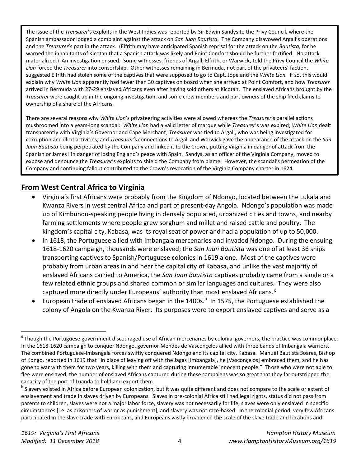The issue of the *Treasurer*'s exploits in the West Indies was reported by Sir Edwin Sandys to the Privy Council, where the Spanish ambassador lodged a complaint against the attack on *San Juan Bautista*. The Company disavowed Argall's operations and the *Treasurer*'s part in the attack. (Elfrith may have anticipated Spanish reprisal for the attack on the *Bautista,* for he warned the inhabitants of Kicotan that a Spanish attack was likely and Point Comfort should be further fortified. No attack materialized.) An investigation ensued. Some witnesses, friends of Argall, Elfrith, or Warwick, told the Privy Council the *White Lion* forced the *Treasurer* into consortship. Other witnesses remaining in Bermuda, not part of the privateers' faction, suggested Elfrith had stolen some of the captives that were supposed to go to Capt. Jope and the *White Lion.* If so, this would explain why *White Lion* apparently had fewer than 30 captives on board when she arrived at Point Comfort, and how *Treasurer*  arrived in Bermuda with 27-29 enslaved Africans even after having sold others at Kicotan. The enslaved Africans brought by the *Treasurer* were caught up in the ongoing investigation, and some crew members and part owners of the ship filed claims to ownership of a share of the Africans.

There are several reasons why *White Lion*'s privateering activities were allowed whereas the *Treasurer*'s parallel actions mushroomed into a years-long scandal: *White Lion* had a valid letter of marque while *Treasurer*'s was expired; *White Lion* dealt transparently with Virginia's Governor and Cape Merchant; *Treasurer* was tied to Argall, who was being investigated for corruption and illicit activities; and *Treasurer'*s connections to Argall and Warwick gave the appearance of the attack on the *San Juan Bautista* being perpetrated by the Company and linked it to the Crown, putting Virginia in danger of attack from the Spanish or James I in danger of losing England's peace with Spain. Sandys, as an officer of the Virginia Company, moved to expose and denounce the *Treasurer*'s exploits to shield the Company from blame. However, the scandal's permeation of the Company and continuing fallout contributed to the Crown's revocation of the Virginia Company charter in 1624.

## **From West Central Africa to Virginia**

- Virginia's first Africans were probably from the Kingdom of Ndongo, located between the Lukala and Kwanza Rivers in west central Africa and part of present-day Angola. Ndongo's population was made up of Kimbundu-speaking people living in densely populated, urbanized cities and towns, and nearby farming settlements where people grew sorghum and millet and raised cattle and poultry. The kingdom's capital city, Kabasa, was its royal seat of power and had a population of up to 50,000.
- In 1618, the Portuguese allied with Imbangala mercenaries and invaded Ndongo. During the ensuing 1618-1620 campaign, thousands were enslaved; the *San Juan Bautista* was one of at least 36 ships transporting captives to Spanish/Portuguese colonies in 1619 alone. Most of the captives were probably from urban areas in and near the capital city of Kabasa, and unlike the vast majority of enslaved Africans carried to America, the *San Juan Bautista* captives probably came from a single or a few related ethnic groups and shared common or similar languages and cultures. They were also captured more directly under Europeans' authority than most enslaved Africans.<sup>g</sup>
- $\bullet$  European trade of enslaved Africans began in the 1400s.<sup>h</sup> In 1575, the Portuguese established the colony of Angola on the Kwanza River. Its purposes were to export enslaved captives and serve as a

l

<sup>&</sup>lt;sup>g</sup> Though the Portuguese government discouraged use of African mercenaries by colonial governors, the practice was commonplace. In the 1618-1620 campaign to conquer Ndongo, governor Mendes de Vasconçelos allied with three bands of Imbangala warriors. The combined Portuguese-Imbangala forces swiftly conquered Ndongo and its capital city, Kabasa. Manuel Bautista Soares, Bishop of Kongo, reported in 1619 that "in place of leaving off with the Jagas [Imbangala], he [Vasconҫelos] embraced them, and he has gone to war with them for two years, killing with them and capturing innumerable innocent people." Those who were not able to flee were enslaved; the number of enslaved Africans captured during these campaigns was so great that they far outstripped the capacity of the port of Luanda to hold and export them.

<sup>&</sup>lt;sup>h</sup> Slavery existed in Africa before European colonization, but it was quite different and does not compare to the scale or extent of enslavement and trade in slaves driven by Europeans. Slaves in pre-colonial Africa still had legal rights, status did not pass from parents to children, slaves were not a major labor force, slavery was not necessarily for life, slaves were only enslaved in specific circumstances [i.e. as prisoners of war or as punishment], and slavery was not race-based. In the colonial period, very few Africans participated in the slave trade with Europeans, and Europeans vastly broadened the scale of the slave trade and locations and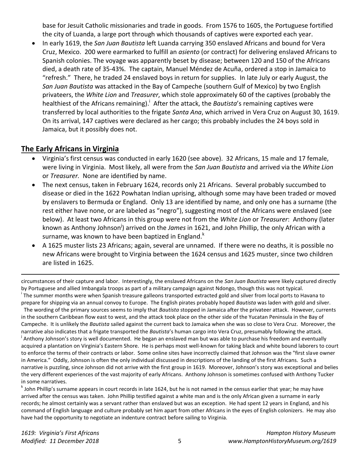base for Jesuit Catholic missionaries and trade in goods. From 1576 to 1605, the Portuguese fortified the city of Luanda, a large port through which thousands of captives were exported each year.

 In early 1619, the *San Juan Bautista* left Luanda carrying 350 enslaved Africans and bound for Vera Cruz, Mexico. 200 were earmarked to fulfill an *asiento* (or contract) for delivering enslaved Africans to Spanish colonies. The voyage was apparently beset by disease; between 120 and 150 of the Africans died, a death rate of 35-43%. The captain*,* Manuel Méndez de Acuña, ordered a stop in Jamaica to "refresh." There, he traded 24 enslaved boys in return for supplies. In late July or early August, the *San Juan Bautista* was attacked in the Bay of Campeche (southern Gulf of Mexico) by two English privateers, the *White Lion* and *Treasurer*, which stole approximately 60 of the captives (probably the healthiest of the Africans remaining).<sup>i</sup> After the attack, the *Bautista'*s remaining captives were transferred by local authorities to the frigate *Santa Ana*, which arrived in Vera Cruz on August 30, 1619. On its arrival, 147 captives were declared as her cargo; this probably includes the 24 boys sold in Jamaica, but it possibly does not.

## **The Early Africans in Virginia**

- Virginia's first census was conducted in early 1620 (see above). 32 Africans, 15 male and 17 female, were living in Virginia. Most likely, all were from the *San Juan Bautista* and arrived via the *White Lion*  or *Treasurer.* None are identified by name.
- The next census, taken in February 1624, records only 21 Africans. Several probably succumbed to disease or died in the 1622 Powhatan Indian uprising, although some may have been traded or moved by enslavers to Bermuda or England. Only 13 are identified by name, and only one has a surname (the rest either have none, or are labeled as "negro"), suggesting most of the Africans were enslaved (see below). At least two Africans in this group were not from the *White Lion* or *Treasurer*: Anthony (later known as Anthony Johnson<sup>j</sup>) arrived on the *James* in 1621, and John Phillip, the only African with a surname, was known to have been baptized in England. $k$
- A 1625 muster lists 23 Africans; again, several are unnamed. If there were no deaths, it is possible no new Africans were brought to Virginia between the 1624 census and 1625 muster, since two children are listed in 1625.

circumstances of their capture and labor. Interestingly, the enslaved Africans on the *San Juan Bautista* were likely captured directly by Portuguese and allied Imbangala troops as part of a military campaign against Ndongo, though this was not typical. <sup>i</sup> The summer months were when Spanish treasure galleons transported extracted gold and silver from local ports to Havana to prepare for shipping via an annual convoy to Europe. The English pirates probably hoped *Bautista* was laden with gold and silver. The wording of the primary sources seems to imply that *Bautista* stopped in Jamaica after the privateer attack. However, currents in the southern Caribbean flow east to west, and the attack took place on the other side of the Yucatan Peninsula in the Bay of Campeche. It is unlikely the *Bautista* sailed against the current back to Jamaica when she was so close to Vera Cruz. Moreover, the narrative also indicates that a frigate transported the *Bautista*'s human cargo into Vera Cruz, presumably following the attack. <sup>j</sup> Anthony Johnson's story is well documented. He began an enslaved man but was able to purchase his freedom and eventually acquired a plantation on Virginia's Eastern Shore. He is perhaps most well-known for taking black and white bound laborers to court to enforce the terms of their contracts or labor. Some online sites have incorrectly claimed that Johnson was the "first slave owner

in America." Oddly, Johnson is often the only individual discussed in descriptions of the landing of the first Africans. Such a narrative is puzzling, since Johnson did not arrive with the first group in 1619. Moreover, Johnson's story was exceptional and belies the very different experiences of the vast majority of early Africans. Anthony Johnson is sometimes confused with Anthony Tucker in some narratives.

<sup>k</sup> John Phillip's surname appears in court records in late 1624, but he is not named in the census earlier that year; he may have arrived after the census was taken. John Phillip testified against a white man and is the only African given a surname in early records; he almost certainly was a servant rather than enslaved but was an exception. He had spent 12 years in England, and his command of English language and culture probably set him apart from other Africans in the eyes of English colonizers. He may also have had the opportunity to negotiate an indenture contract before sailing to Virginia.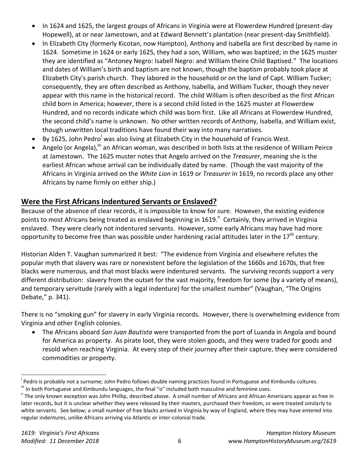- In 1624 and 1625, the largest groups of Africans in Virginia were at Flowerdew Hundred (present-day Hopewell), at or near Jamestown, and at Edward Bennett's plantation (near present-day Smithfield).
- In Elizabeth City (formerly Kicotan, now Hampton), Anthony and Isabella are first described by name in 1624. Sometime in 1624 or early 1625, they had a son, William, who was baptized; in the 1625 muster they are identified as "Antoney Negro: Isabell Negro: and William theire Child Baptised." The locations and dates of William's birth and baptism are not known, though the baptism probably took place at Elizabeth City's parish church. They labored in the household or on the land of Capt. William Tucker; consequently, they are often described as Anthony, Isabella, and William Tucker, though they never appear with this name in the historical record. The child William is often described as the first African child born in America; however, there is a second child listed in the 1625 muster at Flowerdew Hundred, and no records indicate which child was born first. Like all Africans at Flowerdew Hundred, the second child's name is unknown. No other written records of Anthony, Isabella, and William exist, though unwritten local traditions have found their way into many narratives.
- $\bullet$  By 1625, John Pedro<sup>l</sup> was also living at Elizabeth City in the household of Francis West.
- Angelo (or Angela),<sup>m</sup> an African woman, was described in both lists at the residence of William Peirce at Jamestown. The 1625 muster notes that Angelo arrived on the *Treasurer*, meaning she is the earliest African whose arrival can be individually dated by name. (Though the vast majority of the Africans in Virginia arrived on the *White Lion* in 1619 or *Treasurer* in 1619, no records place any other Africans by name firmly on either ship.)

## **Were the First Africans Indentured Servants or Enslaved?**

Because of the absence of clear records, it is impossible to know for sure. However, the existing evidence points to most Africans being treated as enslaved beginning in 1619.<sup>n</sup> Certainly, they arrived in Virginia enslaved. They were clearly not indentured servants. However, some early Africans may have had more opportunity to become free than was possible under hardening racial attitudes later in the  $17<sup>th</sup>$  century.

Historian Alden T. Vaughan summarized it best: "The evidence from Virginia and elsewhere refutes the popular myth that slavery was rare or nonexistent before the legislation of the 1660s and 1670s, that free blacks were numerous, and that most blacks were indentured servants. The surviving records support a very different distribution: slavery from the outset for the vast majority, freedom for some (by a variety of means), and temporary servitude (rarely with a legal indenture) for the smallest number" (Vaughan, "The Origins Debate," p. 341).

There is no "smoking gun" for slavery in early Virginia records. However, there is overwhelming evidence from Virginia and other English colonies.

 The Africans aboard *San Juan Bautista* were transported from the port of Luanda in Angola and bound for America as property. As pirate loot, they were stolen goods, and they were traded for goods and resold when reaching Virginia. At every step of their journey after their capture, they were considered commodities or property.

<sup>&</sup>lt;sup>l</sup> Pedro is probably not a surname; John Pedro follows double naming practices found in Portuguese and Kimbundu cultures. m In both Portuguese and Kimbundu languages, the final "o" included both masculine and feminine uses.

<sup>&</sup>lt;sup>n</sup> The only known exception was John Phillip, described above. A small number of Africans and African Americans appear as free in later records, but it is unclear whether they were released by their masters, purchased their freedom, or were treated similarly to white servants. See below; a small number of free blacks arrived in Virginia by way of England, where they may have entered into regular indentures, unlike Africans arriving via Atlantic or inter-colonial trade.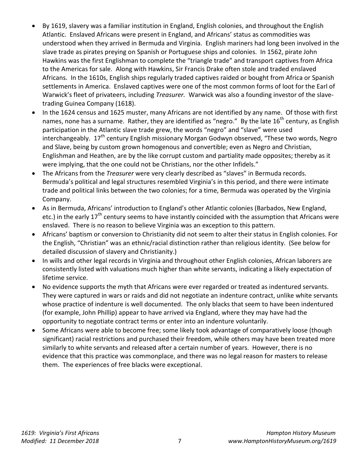- By 1619, slavery was a familiar institution in England, English colonies, and throughout the English Atlantic. Enslaved Africans were present in England, and Africans' status as commodities was understood when they arrived in Bermuda and Virginia. English mariners had long been involved in the slave trade as pirates preying on Spanish or Portuguese ships and colonies. In 1562, pirate John Hawkins was the first Englishman to complete the "triangle trade" and transport captives from Africa to the Americas for sale. Along with Hawkins, Sir Francis Drake often stole and traded enslaved Africans. In the 1610s, English ships regularly traded captives raided or bought from Africa or Spanish settlements in America. Enslaved captives were one of the most common forms of loot for the Earl of Warwick's fleet of privateers, including *Treasurer.* Warwick was also a founding investor of the slavetrading Guinea Company (1618).
- In the 1624 census and 1625 muster, many Africans are not identified by any name. Of those with first names, none has a surname. Rather, they are identified as "negro." By the late 16<sup>th</sup> century, as English participation in the Atlantic slave trade grew, the words "negro" and "slave" were used interchangeably.  $17<sup>th</sup>$  century English missionary Morgan Godwyn observed, "These two words, Negro and Slave, being by custom grown homogenous and convertible; even as Negro and Christian, Englishman and Heathen, are by the like corrupt custom and partiality made opposites; thereby as it were implying, that the one could not be Christians, nor the other Infidels."
- The Africans from the *Treasurer* were very clearly described as "slaves" in Bermuda records. Bermuda's political and legal structures resembled Virginia's in this period, and there were intimate trade and political links between the two colonies; for a time, Bermuda was operated by the Virginia Company.
- As in Bermuda, Africans' introduction to England's other Atlantic colonies (Barbados, New England, etc.) in the early  $17<sup>th</sup>$  century seems to have instantly coincided with the assumption that Africans were enslaved. There is no reason to believe Virginia was an exception to this pattern.
- Africans' baptism or conversion to Christianity did not seem to alter their status in English colonies. For the English, "Christian" was an ethnic/racial distinction rather than religious identity. (See below for detailed discussion of slavery and Christianity.)
- In wills and other legal records in Virginia and throughout other English colonies, African laborers are consistently listed with valuations much higher than white servants, indicating a likely expectation of lifetime service.
- No evidence supports the myth that Africans were ever regarded or treated as indentured servants. They were captured in wars or raids and did not negotiate an indenture contract, unlike white servants whose practice of indenture is well documented. The only blacks that seem to have been indentured (for example, John Phillip) appear to have arrived via England, where they may have had the opportunity to negotiate contract terms or enter into an indenture voluntarily.
- Some Africans were able to become free; some likely took advantage of comparatively loose (though significant) racial restrictions and purchased their freedom, while others may have been treated more similarly to white servants and released after a certain number of years. However, there is no evidence that this practice was commonplace, and there was no legal reason for masters to release them. The experiences of free blacks were exceptional.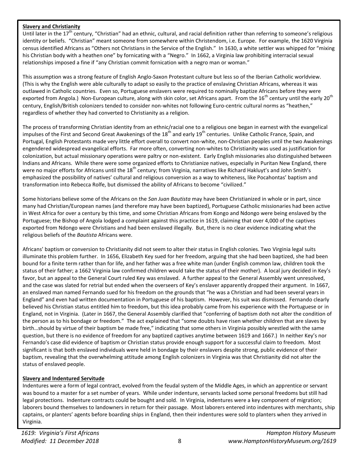#### **Slavery and Christianity**

Until later in the 17<sup>th</sup> century, "Christian" had an ethnic, cultural, and racial definition rather than referring to someone's religious identity or beliefs. "Christian" meant someone from somewhere within Christendom, i.e. Europe. For example, the 1620 Virginia census identified Africans as "Others not Christians in the Service of the English." In 1630, a white settler was whipped for "mixing his Christian body with a heathen one" by fornicating with a "Negro." In 1662, a Virginia law prohibiting interracial sexual relationships imposed a fine if "any Christian commit fornication with a negro man or woman."

This assumption was a strong feature of English Anglo-Saxon Protestant culture but less so of the Iberian Catholic worldview. (This is why the English were able culturally to adapt so easily to the practice of enslaving Christian Africans, whereas it was outlawed in Catholic countries. Even so, Portuguese enslavers were required to nominally baptize Africans before they were exported from Angola.) Non-European culture, along with skin color, set Africans apart. From the 16<sup>th</sup> century until the early 20<sup>th</sup> century, English/British colonizers tended to consider non-whites not following Euro-centric cultural norms as "heathen," regardless of whether they had converted to Christianity as a religion.

The process of transforming Christian identity from an ethnic/racial one to a religious one began in earnest with the evangelical impulses of the First and Second Great Awakenings of the 18<sup>th</sup> and early 19<sup>th</sup> centuries. Unlike Catholic France, Spain, and Portugal, English Protestants made very little effort overall to convert non-white, non-Christian peoples until the two Awakenings engendered widespread evangelical efforts. Far more often, converting non-whites to Christianity was used as justification for colonization, but actual missionary operations were paltry or non-existent. Early English missionaries also distinguished between Indians and Africans. While there were some organized efforts to Christianize natives, especially in Puritan New England, there were no major efforts for Africans until the 18<sup>th</sup> century; from Virginia, narratives like Richard Hakluyt's and John Smith's emphasized the possibility of natives' cultural and religious conversion as a way to whiteness, like Pocahontas' baptism and transformation into Rebecca Rolfe, but dismissed the ability of Africans to become "civilized."

Some historians believe some of the Africans on the *San Juan Bautista* may have been Christianized in whole or in part, since many had Christian/European names (and therefore may have been baptized), Portuguese Catholic missionaries had been active in West Africa for over a century by this time, and some Christian Africans from Kongo and Ndongo were being enslaved by the Portuguese; the Bishop of Angola lodged a complaint against this practice in 1619, claiming that over 4,000 of the captives exported from Ndongo were Christians and had been enslaved illegally. But, there is no clear evidence indicating what the religious beliefs of the *Bautista* Africans were.

Africans' baptism or conversion to Christianity did not seem to alter their status in English colonies. Two Virginia legal suits illuminate this problem further. In 1656, Elizabeth Key sued for her freedom, arguing that she had been baptized, she had been bound for a finite term rather than for life, and her father was a free white man (under English common law, children took the status of their father; a 1662 Virginia law confirmed children would take the status of their mother). A local jury decided in Key's favor, but an appeal to the General Court ruled Key was enslaved. A further appeal to the General Assembly went unresolved, and the case was slated for retrial but ended when the overseers of Key's enslaver apparently dropped their argument. In 1667, an enslaved man named Fernando sued for his freedom on the grounds that "he was a Christian and had been several years in England" and even had written documentation in Portuguese of his baptism. However, his suit was dismissed. Fernando clearly believed his Christian status entitled him to freedom, but this idea probably came from his experience with the Portuguese or in England, not in Virginia. (Later in 1667, the General Assembly clarified that "conferring of baptism doth not alter the condition of the person as to his bondage or freedom." The act explained that "some doubts have risen whether children that are slaves by birth…should by virtue of their baptism be made free," indicating that some others in Virginia possibly wrestled with the same question, but there is no evidence of freedom for any baptized captives anytime between 1619 and 1667.) In neither Key's nor Fernando's case did evidence of baptism or Christian status provide enough support for a successful claim to freedom. Most significant is that both enslaved individuals were held in bondage by their enslavers despite strong, public evidence of their baptism, revealing that the overwhelming attitude among English colonizers in Virginia was that Christianity did not alter the status of enslaved people.

#### **Slavery and Indentured Servitude**

Indentures were a form of legal contract, evolved from the feudal system of the Middle Ages, in which an apprentice or servant was bound to a master for a set number of years. While under indenture, servants lacked some personal freedoms but still had legal protections. Indenture contracts could be bought and sold. In Virginia, indentures were a key component of migration; laborers bound themselves to landowners in return for their passage. Most laborers entered into indentures with merchants, ship captains, or planters' agents before boarding ships in England, then their indentures were sold to planters when they arrived in Virginia.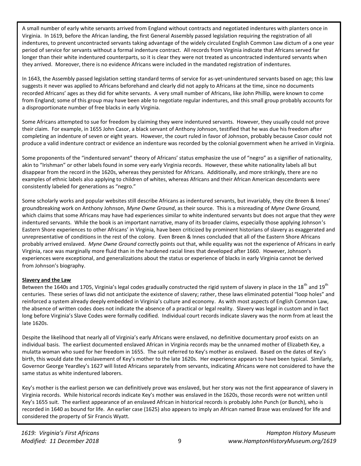A small number of early white servants arrived from England without contracts and negotiated indentures with planters once in Virginia. In 1619, before the African landing, the first General Assembly passed legislation requiring the registration of all indentures, to prevent uncontracted servants taking advantage of the widely circulated English Common Law dictum of a one year period of service for servants without a formal indenture contract. All records from Virginia indicate that Africans served far longer than their white indentured counterparts, so it is clear they were not treated as uncontracted indentured servants when they arrived. Moreover, there is no evidence Africans were included in the mandated registration of indentures.

In 1643, the Assembly passed legislation setting standard terms of service for as-yet-unindentured servants based on age; this law suggests it never was applied to Africans beforehand and clearly did not apply to Africans at the time, since no documents recorded Africans' ages as they did for white servants. A very small number of Africans, like John Phillip, were known to come from England; some of this group may have been able to negotiate regular indentures, and this small group probably accounts for a disproportionate number of free blacks in early Virginia.

Some Africans attempted to sue for freedom by claiming they were indentured servants. However, they usually could not prove their claim. For example, in 1655 John Casor, a black servant of Anthony Johnson, testified that he was due his freedom after completing an indenture of seven or eight years. However, the court ruled in favor of Johnson, probably because Casor could not produce a valid indenture contract or evidence an indenture was recorded by the colonial government when he arrived in Virginia.

Some proponents of the "indentured servant" theory of Africans' status emphasize the use of "negro" as a signifier of nationality, akin to "Irishman" or other labels found in some very early Virginia records. However, these white nationality labels all but disappear from the record in the 1620s, whereas they persisted for Africans. Additionally, and more strikingly, there are no examples of ethnic labels also applying to children of whites, whereas Africans and their African American descendants were consistently labeled for generations as "negro."

Some scholarly works and popular websites still describe Africans as indentured servants, but invariably, they cite Breen & Innes' groundbreaking work on Anthony Johnson, *Myne Owne Ground*, as their source. This is a misreading of *Myne Owne Ground,*  which claims that some Africans may have had experiences similar to white indentured servants but does not argue that they *were*  indentured servants. While the book is an important narrative, many of its broader claims, especially those applying Johnson's Eastern Shore experiences to other Africans' in Virginia, have been criticized by prominent historians of slavery as exaggerated and unrepresentative of conditions in the rest of the colony. Even Breen & Innes concluded that all of the Eastern Shore Africans probably arrived enslaved. *Myne Owne Ground* correctly points out that, while equality was not the experience of Africans in early Virginia, race was marginally more fluid than in the hardened racial lines that developed after 1660. However, Johnson's experiences were exceptional, and generalizations about the status or experience of blacks in early Virginia cannot be derived from Johnson's biography.

#### **Slavery and the Law**

Between the 1640s and 1705, Virginia's legal codes gradually constructed the rigid system of slavery in place in the 18<sup>th</sup> and 19<sup>th</sup> centuries. These series of laws did not anticipate the existence of slavery; rather, these laws eliminated potential "loop holes" and reinforced a system already deeply embedded in Virginia's culture and economy. As with most aspects of English Common Law, the absence of written codes does not indicate the absence of a practical or legal reality. Slavery was legal in custom and in fact long before Virginia's Slave Codes were formally codified. Individual court records indicate slavery was the norm from at least the late 1620s.

Despite the likelihood that nearly all of Virginia's early Africans were enslaved, no definitive documentary proof exists on an individual basis. The earliest documented enslaved African in Virginia records may be the unnamed mother of Elizabeth Key, a mulatta woman who sued for her freedom in 1655. The suit referred to Key's mother as enslaved. Based on the dates of Key's birth, this would date the enslavement of Key's mother to the late 1620s. Her experience appears to have been typical. Similarly, Governor George Yeardley's 1627 will listed Africans separately from servants, indicating Africans were not considered to have the same status as white indentured laborers.

Key's mother is the earliest person we can definitively prove was enslaved, but her story was not the first appearance of slavery in Virginia records. While historical records indicate Key's mother was enslaved in the 1620s, those records were not written until Key's 1655 suit. The earliest appearance of an enslaved African in historical records is probably John Punch (or Bunch), who is recorded in 1640 as bound for life. An earlier case (1625) also appears to imply an African named Brase was enslaved for life and considered the property of Sir Francis Wyatt.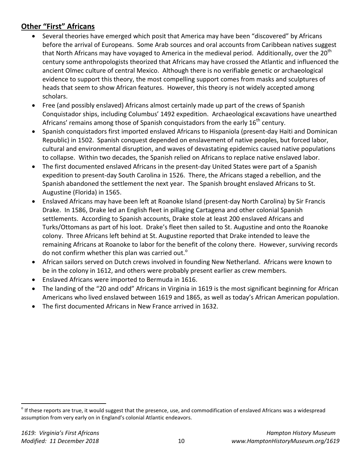# **Other "First" Africans**

- Several theories have emerged which posit that America may have been "discovered" by Africans before the arrival of Europeans. Some Arab sources and oral accounts from Caribbean natives suggest that North Africans may have voyaged to America in the medieval period. Additionally, over the 20<sup>th</sup> century some anthropologists theorized that Africans may have crossed the Atlantic and influenced the ancient Olmec culture of central Mexico. Although there is no verifiable genetic or archaeological evidence to support this theory, the most compelling support comes from masks and sculptures of heads that seem to show African features. However, this theory is not widely accepted among scholars.
- Free (and possibly enslaved) Africans almost certainly made up part of the crews of Spanish Conquistador ships, including Columbus' 1492 expedition. Archaeological excavations have unearthed Africans' remains among those of Spanish conquistadors from the early 16<sup>th</sup> century.
- Spanish conquistadors first imported enslaved Africans to Hispaniola (present-day Haiti and Dominican Republic) in 1502. Spanish conquest depended on enslavement of native peoples, but forced labor, cultural and environmental disruption, and waves of devastating epidemics caused native populations to collapse. Within two decades, the Spanish relied on Africans to replace native enslaved labor.
- The first documented enslaved Africans in the present-day United States were part of a Spanish expedition to present-day South Carolina in 1526. There, the Africans staged a rebellion, and the Spanish abandoned the settlement the next year. The Spanish brought enslaved Africans to St. Augustine (Florida) in 1565.
- Enslaved Africans may have been left at Roanoke Island (present-day North Carolina) by Sir Francis Drake. In 1586, Drake led an English fleet in pillaging Cartagena and other colonial Spanish settlements. According to Spanish accounts, Drake stole at least 200 enslaved Africans and Turks/Ottomans as part of his loot. Drake's fleet then sailed to St. Augustine and onto the Roanoke colony. Three Africans left behind at St. Augustine reported that Drake intended to leave the remaining Africans at Roanoke to labor for the benefit of the colony there. However, surviving records do not confirm whether this plan was carried out.<sup>o</sup>
- African sailors served on Dutch crews involved in founding New Netherland. Africans were known to be in the colony in 1612, and others were probably present earlier as crew members.
- Enslaved Africans were imported to Bermuda in 1616.
- The landing of the "20 and odd" Africans in Virginia in 1619 is the most significant beginning for African Americans who lived enslaved between 1619 and 1865, as well as today's African American population.
- The first documented Africans in New France arrived in 1632.

 $^{\circ}$  If these reports are true, it would suggest that the presence, use, and commodification of enslaved Africans was a widespread assumption from very early on in England's colonial Atlantic endeavors.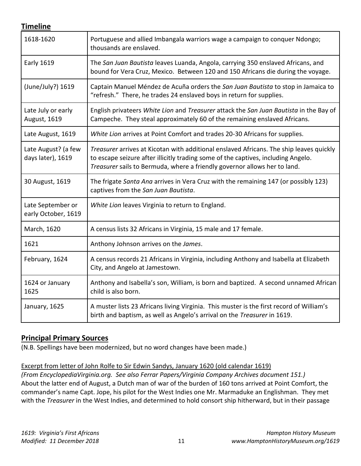## **Timeline**

| 1618-1620                                | Portuguese and allied Imbangala warriors wage a campaign to conquer Ndongo;<br>thousands are enslaved.                                                                                                                                                    |
|------------------------------------------|-----------------------------------------------------------------------------------------------------------------------------------------------------------------------------------------------------------------------------------------------------------|
| <b>Early 1619</b>                        | The San Juan Bautista leaves Luanda, Angola, carrying 350 enslaved Africans, and<br>bound for Vera Cruz, Mexico. Between 120 and 150 Africans die during the voyage.                                                                                      |
| (June/July?) 1619                        | Captain Manuel Méndez de Acuña orders the San Juan Bautista to stop in Jamaica to<br>"refresh." There, he trades 24 enslaved boys in return for supplies.                                                                                                 |
| Late July or early<br>August, 1619       | English privateers White Lion and Treasurer attack the San Juan Bautista in the Bay of<br>Campeche. They steal approximately 60 of the remaining enslaved Africans.                                                                                       |
| Late August, 1619                        | White Lion arrives at Point Comfort and trades 20-30 Africans for supplies.                                                                                                                                                                               |
| Late August? (a few<br>days later), 1619 | Treasurer arrives at Kicotan with additional enslaved Africans. The ship leaves quickly<br>to escape seizure after illicitly trading some of the captives, including Angelo.<br>Treasurer sails to Bermuda, where a friendly governor allows her to land. |
| 30 August, 1619                          | The frigate Santa Ana arrives in Vera Cruz with the remaining 147 (or possibly 123)<br>captives from the San Juan Bautista.                                                                                                                               |
| Late September or<br>early October, 1619 | White Lion leaves Virginia to return to England.                                                                                                                                                                                                          |
| March, 1620                              | A census lists 32 Africans in Virginia, 15 male and 17 female.                                                                                                                                                                                            |
| 1621                                     | Anthony Johnson arrives on the James.                                                                                                                                                                                                                     |
| February, 1624                           | A census records 21 Africans in Virginia, including Anthony and Isabella at Elizabeth<br>City, and Angelo at Jamestown.                                                                                                                                   |
| 1624 or January<br>1625                  | Anthony and Isabella's son, William, is born and baptized. A second unnamed African<br>child is also born.                                                                                                                                                |
| January, 1625                            | A muster lists 23 Africans living Virginia. This muster is the first record of William's<br>birth and baptism, as well as Angelo's arrival on the Treasurer in 1619.                                                                                      |

## **Principal Primary Sources**

(N.B. Spellings have been modernized, but no word changes have been made.)

Excerpt from letter of John Rolfe to Sir Edwin Sandys, January 1620 (old calendar 1619)

*(From EncyclopediaVirginia.org. See also Ferrar Papers/Virginia Company Archives document 151.)* About the latter end of August, a Dutch man of war of the burden of 160 tons arrived at Point Comfort, the commander's name Capt. Jope, his pilot for the West Indies one Mr. Marmaduke an Englishman. They met with the *Treasurer* in the West Indies, and determined to hold consort ship hitherward, but in their passage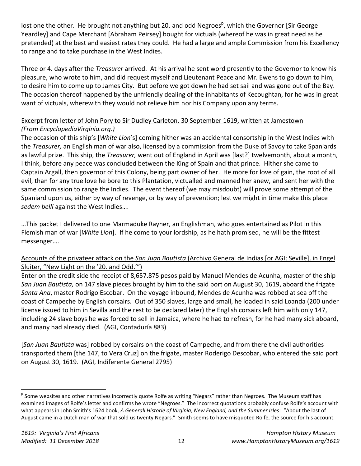lost one the other. He brought not anything but 20. and odd Negroes<sup>p</sup>, which the Governor [Sir George Yeardley] and Cape Merchant [Abraham Peirsey] bought for victuals (whereof he was in great need as he pretended) at the best and easiest rates they could. He had a large and ample Commission from his Excellency to range and to take purchase in the West Indies.

Three or 4. days after the *Treasurer* arrived. At his arrival he sent word presently to the Governor to know his pleasure, who wrote to him, and did request myself and Lieutenant Peace and Mr. Ewens to go down to him, to desire him to come up to James City. But before we got down he had set sail and was gone out of the Bay. The occasion thereof happened by the unfriendly dealing of the inhabitants of Kecoughtan, for he was in great want of victuals, wherewith they would not relieve him nor his Company upon any terms.

## Excerpt from letter of John Pory to Sir Dudley Carleton, 30 September 1619, written at Jamestown *(From EncyclopediaVirginia.org.)*

The occasion of this ship's [*White Lion*'s] coming hither was an accidental consortship in the West Indies with the *Treasurer,* an English man of war also, licensed by a commission from the Duke of Savoy to take Spaniards as lawful prize. This ship, the *Treasurer,* went out of England in April was [last?] twelvemonth, about a month, I think, before any peace was concluded between the King of Spain and that prince. Hither she came to Captain Argall, then governor of this Colony, being part owner of her. He more for love of gain, the root of all evil, than for any true love he bore to this Plantation, victualled and manned her anew, and sent her with the same commission to range the Indies. The event thereof (we may misdoubt) will prove some attempt of the Spaniard upon us, either by way of revenge, or by way of prevention; lest we might in time make this place *sedem belli* against the West Indies….

…This packet I delivered to one Marmaduke Rayner, an Englishman, who goes entertained as Pilot in this Flemish man of war [*White Lion*]. If he come to your lordship, as he hath promised, he will be the fittest messenger….

### Accounts of the privateer attack on the *San Juan Bautista* (Archivo General de Indias [or AGI; Seville], in Engel Sluiter, "New Light on the '20. and Odd.'")

Enter on the credit side the receipt of 8,657.875 pesos paid by Manuel Mendes de Acunha, master of the ship *San Juan Bautista,* on 147 slave pieces brought by him to the said port on August 30, 1619, aboard the frigate *Santa Ana*, master Rodrigo Escobar. On the voyage inbound, Mendes de Acunha was robbed at sea off the coast of Campeche by English corsairs. Out of 350 slaves, large and small, he loaded in said Loanda (200 under license issued to him in Sevilla and the rest to be declared later) the English corsairs left him with only 147, including 24 slave boys he was forced to sell in Jamaica, where he had to refresh, for he had many sick aboard, and many had already died. (AGI, Contaduría 883)

[*San Juan Bautista* was] robbed by corsairs on the coast of Campeche, and from there the civil authorities transported them [the 147, to Vera Cruz] on the frigate, master Roderigo Descobar, who entered the said port on August 30, 1619. (AGI, Indiferente General 2795)

<sup>&</sup>lt;sup>p</sup> Some websites and other narratives incorrectly quote Rolfe as writing "Negars" rather than Negroes. The Museum staff has examined images of Rolfe's letter and confirms he wrote "Negroes." The incorrect quotations probably confuse Rolfe's account with what appears in John Smith's 1624 book, *A Generall Historie of Virginia, New England, and the Summer Isles*: "About the last of August came in a Dutch man of war that sold us twenty Negars." Smith seems to have misquoted Rolfe, the source for his account.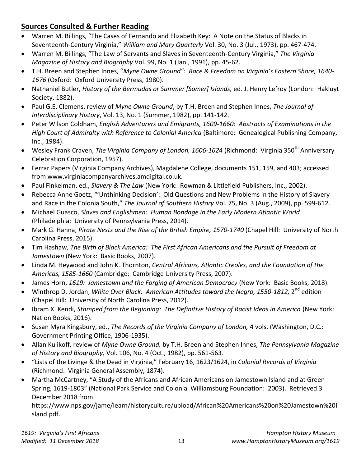## **Sources Consulted & Further Reading**

- Warren M. Billings, "The Cases of Fernando and Elizabeth Key: A Note on the Status of Blacks in Seventeenth-Century Virginia," *William and Mary Quarterly* Vol. 30, No. 3 (Jul., 1973), pp. 467-474.
- Warren M. Billings, "The Law of Servants and Slaves in Seventeenth-Century Virginia," *The Virginia Magazine of History and Biography* Vol. 99, No. 1 (Jan., 1991), pp. 45-62.
- T.H. Breen and Stephen Innes, "*Myne Owne Ground": Race & Freedom on Virginia's Eastern Shore, 1640- 1676* (Oxford: Oxford University Press, 1980).
- Nathaniel Butler, *History of the Bermudas or Summer [Somer] Islands,* ed. J. Henry Lefroy (London: Hakluyt Society, 1882).
- Paul G.E. Clemens, review of *Myne Owne Ground*, by T.H. Breen and Stephen Innes, *The Journal of Interdisciplinary History*, Vol. 13, No. 1 (Summer, 1982), pp. 141-142.
- Peter Wilson Coldham, *English Adventurers and Emigrants, 1609-1660: Abstracts of Examinations in the High Court of Admiralty with Reference to Colonial America* (Baltimore: Genealogical Publishing Company, Inc., 1984).
- Wesley Frank Craven, *The Virginia Company of London, 1606-1624* (Richmond: Virginia 350<sup>th</sup> Anniversary Celebration Corporation, 1957).
- Ferrar Papers (Virginia Company Archives), Magdalene College, documents 151, 159, and 403; accessed from www.virginiacompanyarchives.amdigital.co.uk.
- Paul Finkelman, ed., *Slavery & The Law* (New York: Rowman & Littlefield Publishers, Inc., 2002).
- Rebecca Anne Goetz, "'Unthinking Decision': Old Questions and New Problems in the History of Slavery and Race in the Colonia South," *The Journal of Southern History* Vol. 75, No. 3 (Aug., 2009), pp. 599-612.
- Michael Guasco, *Slaves and Englishmen: Human Bondage in the Early Modern Atlantic World*  (Philadelphia: University of Pennsylvania Press, 2014).
- Mark G. Hanna, *Pirate Nests and the Rise of the British Empire, 1570-1740* (Chapel Hill: University of North Carolina Press, 2015).
- Tim Hashaw, *The Birth of Black America: The First African Americans and the Pursuit of Freedom at Jamestown* (New York: Basic Books, 2007).
- Linda M. Heywood and John K. Thornton, *Central Africans, Atlantic Creoles, and the Foundation of the Americas, 1585-1660* (Cambridge: Cambridge University Press, 2007).
- James Horn, *1619: Jamestown and the Forging of American Democracy* (New York: Basic Books, 2018).
- Winthrop D. Jordan, *White Over Black: American Attitudes toward the Negro, 1550-1812,* 2<sup>nd</sup> edition (Chapel Hill: University of North Carolina Press, 2012).
- Ibram X. Kendi, *Stamped from the Beginning: The Definitive History of Racist Ideas in America* (New York: Nation Books, 2016).
- Susan Myra Kingsbury, ed., *The Records of the Virginia Company of London,* 4 vols. (Washington, D.C.: Government Printing Office, 1906-1935).
- Allan Kulikoff, review of *Myne Owne Ground,* by T.H. Breen and Stephen Innes, *The Pennsylvania Magazine of History and Biography,* Vol. 106, No. 4 (Oct., 1982), pp. 561-563.
- "Lists of the Livinge & the Dead in Virginia," February 16, 1623/1624, in *Colonial Records of Virginia*  (Richmond: Virginia General Assembly, 1874).
- Martha McCartney, "A Study of the Africans and African Americans on Jamestown Island and at Green Spring, 1619-1803" (National Park Service and Colonial Williamsburg Foundation: 2003). Retrieved 3 December 2018 from

https://www.nps.gov/jame/learn/historyculture/upload/African%20Americans%20on%20Jamestown%20I sland.pdf.